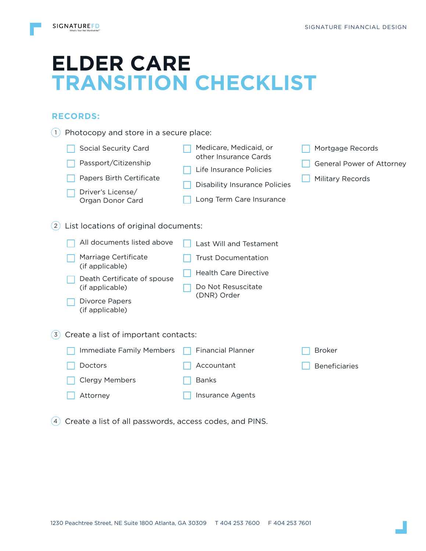### **RECORDS:**

| $\overline{1}$                                         | Photocopy and store in a secure place:                                                                                                |                                                                                                                                                |                                                                   |  |  |
|--------------------------------------------------------|---------------------------------------------------------------------------------------------------------------------------------------|------------------------------------------------------------------------------------------------------------------------------------------------|-------------------------------------------------------------------|--|--|
|                                                        | Social Security Card<br>Passport/Citizenship<br>Papers Birth Certificate<br>Driver's License/<br>Organ Donor Card                     | Medicare, Medicaid, or<br>other Insurance Cards<br>Life Insurance Policies<br><b>Disability Insurance Policies</b><br>Long Term Care Insurance | Mortgage Records<br>General Power of Attorney<br>Military Records |  |  |
| $\left( 2\right)$                                      | List locations of original documents:                                                                                                 |                                                                                                                                                |                                                                   |  |  |
|                                                        | All documents listed above                                                                                                            | Last Will and Testament                                                                                                                        |                                                                   |  |  |
|                                                        | Marriage Certificate<br>(if applicable)<br>Death Certificate of spouse<br>(if applicable)<br><b>Divorce Papers</b><br>(if applicable) | <b>Trust Documentation</b><br><b>Health Care Directive</b><br>Do Not Resuscitate<br>(DNR) Order                                                |                                                                   |  |  |
| Create a list of important contacts:<br>$\overline{3}$ |                                                                                                                                       |                                                                                                                                                |                                                                   |  |  |
|                                                        | <b>Immediate Family Members</b>                                                                                                       | <b>Financial Planner</b>                                                                                                                       | <b>Broker</b>                                                     |  |  |
|                                                        | Doctors                                                                                                                               | Accountant                                                                                                                                     | <b>Beneficiaries</b>                                              |  |  |
|                                                        | <b>Clergy Members</b>                                                                                                                 | <b>Banks</b>                                                                                                                                   |                                                                   |  |  |
|                                                        | Attorney                                                                                                                              | <b>Insurance Agents</b>                                                                                                                        |                                                                   |  |  |
|                                                        |                                                                                                                                       |                                                                                                                                                |                                                                   |  |  |

 $4)$  Create a list of all passwords, access codes, and PINS.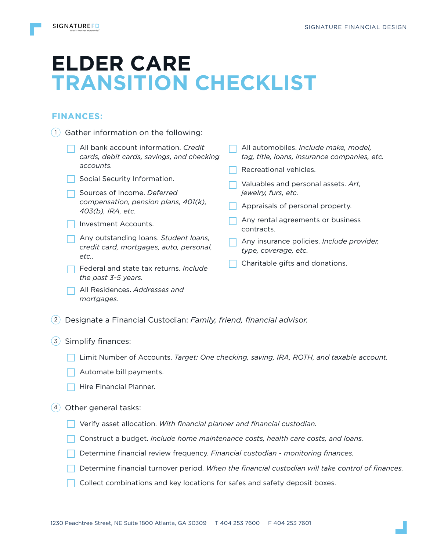### **FINANCES:**

- 1) Gather information on the following:
	- All bank account information. *Credit cards, debit cards, savings, and checking accounts.*
	- Social Security Information.
	- Sources of Income. *Deferred compensation, pension plans, 401(k), 403(b), IRA, etc.*
	- Investment Accounts.
	- Any outstanding loans. *Student loans, credit card, mortgages, auto, personal, etc..*
	- *the past 3-5 years.*
	- All Residences. *Addresses and mortgages.*
- All automobiles. *Include make, model, tag, title, loans, insurance companies, etc.* Valuables and personal assets. *Art, jewelry, furs, etc.* Recreational vehicles. Appraisals of personal property.
- Any rental agreements or business contracts.
- Any insurance policies. *Include provider, type, coverage, etc.*
- Charitable gifts and donations. Federal and state tax returns. *Include*
- Designate a Financial Custodian: *Family, friend, financial advisor.* 2
- 3) Simplify finances:
	- Limit Number of Accounts. *Target: One checking, saving, IRA, ROTH, and taxable account.*
	- Automate bill payments.
	- Hire Financial Planner.

#### Other general tasks: 4

- Verify asset allocation. *With financial planner and financial custodian.*
- Construct a budget. *Include home maintenance costs, health care costs, and loans.*
- Determine financial review frequency. *Financial custodian monitoring finances.*
- Determine financial turnover period. *When the financial custodian will take control of finances.*
- Collect combinations and key locations for safes and safety deposit boxes.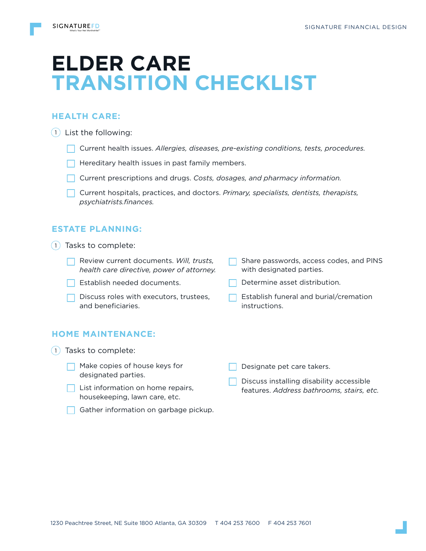### **HEALTH CARE:**

- $1)$  List the following:
	- Current health issues. *Allergies, diseases, pre-existing conditions, tests, procedures.*
	- $\blacksquare$  Hereditary health issues in past family members.
	- Current prescriptions and drugs. *Costs, dosages, and pharmacy information.*
	- Current hospitals, practices, and doctors. *Primary, specialists, dentists, therapists, psychiatrists.finances.*

#### **ESTATE PLANNING:**

- 1) Tasks to complete:
	- Review current documents. *Will, trusts, health care directive, power of attorney.*
	- Establish needed documents.
	- Discuss roles with executors, trustees, and beneficiaries.
- Share passwords, access codes, and PINS with designated parties.
- Determine asset distribution.
- Establish funeral and burial/cremation instructions.

#### **HOME MAINTENANCE:**

- 1) Tasks to complete:
	- $\Box$  Make copies of house keys for designated parties.
	- **List information on home repairs,** housekeeping, lawn care, etc.
	- Gather information on garbage pickup.
- Designate pet care takers.
- **Discuss installing disability accessible** features. *Address bathrooms, stairs, etc.*